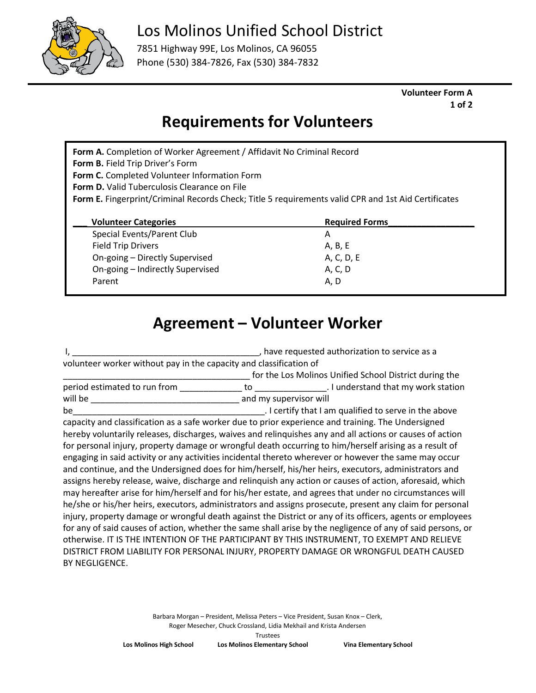

## Los Molinos Unified School District

7851 Highway 99E, Los Molinos, CA 96055 Phone (530) 384-7826, Fax (530) 384-7832

> **Volunteer Form A 1 of 2**

# **Requirements for Volunteers**

**Form A.** Completion of Worker Agreement / Affidavit No Criminal Record **Form B.** Field Trip Driver's Form **Form C.** Completed Volunteer Information Form **Form D.** Valid Tuberculosis Clearance on File **Form E.** Fingerprint/Criminal Records Check; Title 5 requirements valid CPR and 1st Aid Certificates **Volunteer Categories Required Forms** Special Events/Parent Club A Field Trip Drivers A, B, E On-going – Directly Supervised A, C, D, E On-going – Indirectly Supervised A, C, D Parent A, D

## **Agreement – Volunteer Worker**

I, \_\_\_\_\_\_\_\_\_\_\_\_\_\_\_\_\_\_\_\_\_\_\_\_\_\_\_\_\_\_\_\_\_\_\_\_\_\_\_, have requested authorization to service as a volunteer worker without pay in the capacity and classification of for the Los Molinos Unified School District during the period estimated to run from \_\_\_\_\_\_\_\_\_\_\_\_\_ to \_\_\_\_\_\_\_\_\_\_\_\_\_\_\_. I understand that my work station will be \_\_\_\_\_\_\_\_\_\_\_\_\_\_\_\_\_\_\_\_\_\_\_\_\_\_\_\_\_\_\_ and my supervisor will be\_\_\_\_\_\_\_\_\_\_\_\_\_\_\_\_\_\_\_\_\_\_\_\_\_\_\_\_\_\_\_\_\_\_\_\_\_\_\_\_. I certify that I am qualified to serve in the above capacity and classification as a safe worker due to prior experience and training. The Undersigned hereby voluntarily releases, discharges, waives and relinquishes any and all actions or causes of action for personal injury, property damage or wrongful death occurring to him/herself arising as a result of engaging in said activity or any activities incidental thereto wherever or however the same may occur and continue, and the Undersigned does for him/herself, his/her heirs, executors, administrators and assigns hereby release, waive, discharge and relinquish any action or causes of action, aforesaid, which may hereafter arise for him/herself and for his/her estate, and agrees that under no circumstances will he/she or his/her heirs, executors, administrators and assigns prosecute, present any claim for personal injury, property damage or wrongful death against the District or any of its officers, agents or employees for any of said causes of action, whether the same shall arise by the negligence of any of said persons, or otherwise. IT IS THE INTENTION OF THE PARTICIPANT BY THIS INSTRUMENT, TO EXEMPT AND RELIEVE DISTRICT FROM LIABILITY FOR PERSONAL INJURY, PROPERTY DAMAGE OR WRONGFUL DEATH CAUSED BY NEGLIGENCE.

> Barbara Morgan – President, Melissa Peters – Vice President, Susan Knox – Clerk, Roger Mesecher, Chuck Crossland, Lidia Mekhail and Krista Andersen

**Los Molinos High School Los Molinos Elementary School Vina Elementary School** Trustees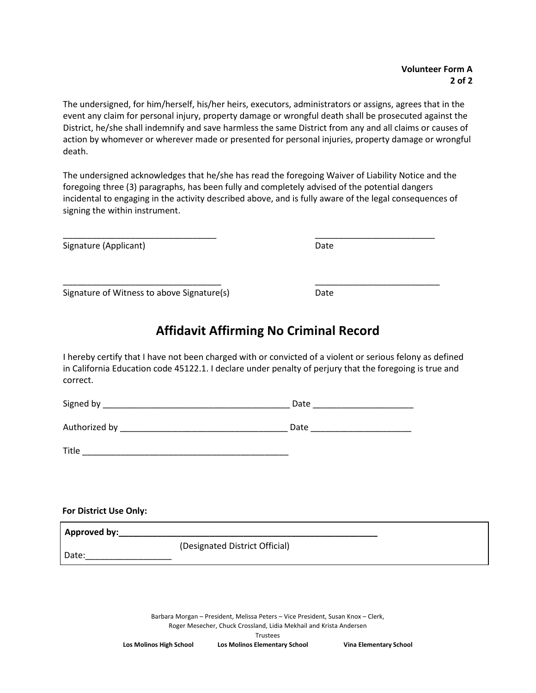The undersigned, for him/herself, his/her heirs, executors, administrators or assigns, agrees that in the event any claim for personal injury, property damage or wrongful death shall be prosecuted against the District, he/she shall indemnify and save harmless the same District from any and all claims or causes of action by whomever or wherever made or presented for personal injuries, property damage or wrongful death.

The undersigned acknowledges that he/she has read the foregoing Waiver of Liability Notice and the foregoing three (3) paragraphs, has been fully and completely advised of the potential dangers incidental to engaging in the activity described above, and is fully aware of the legal consequences of signing the within instrument.

\_\_\_\_\_\_\_\_\_\_\_\_\_\_\_\_\_\_\_\_\_\_\_\_\_\_\_\_\_\_\_\_ \_\_\_\_\_\_\_\_\_\_\_\_\_\_\_\_\_\_\_\_\_\_\_\_\_

Signature (Applicant) Date

Signature of Witness to above Signature(s) Date

### **Affidavit Affirming No Criminal Record**

I hereby certify that I have not been charged with or convicted of a violent or serious felony as defined in California Education code 45122.1. I declare under penalty of perjury that the foregoing is true and correct.

Signed by \_\_\_\_\_\_\_\_\_\_\_\_\_\_\_\_\_\_\_\_\_\_\_\_\_\_\_\_\_\_\_\_\_\_\_\_\_\_\_ Date \_\_\_\_\_\_\_\_\_\_\_\_\_\_\_\_\_\_\_\_\_

Authorized by \_\_\_\_\_\_\_\_\_\_\_\_\_\_\_\_\_\_\_\_\_\_\_\_\_\_\_\_\_\_\_\_\_\_\_ Date \_\_\_\_\_\_\_\_\_\_\_\_\_\_\_\_\_\_\_\_\_

Title \_\_\_\_\_\_\_\_\_\_\_\_\_\_\_\_\_\_\_\_\_\_\_\_\_\_\_\_\_\_\_\_\_\_\_\_\_\_\_\_\_\_\_

| <b>For District Use Only:</b> |                                |
|-------------------------------|--------------------------------|
| Approved by:                  |                                |
|                               | (Designated District Official) |
| Date:                         |                                |

Barbara Morgan – President, Melissa Peters – Vice President, Susan Knox – Clerk, Roger Mesecher, Chuck Crossland, Lidia Mekhail and Krista Andersen

Trustees **Los Molinos High School Los Molinos Elementary School Vina Elementary School**

\_\_\_\_\_\_\_\_\_\_\_\_\_\_\_\_\_\_\_\_\_\_\_\_\_\_\_\_\_\_\_\_\_ \_\_\_\_\_\_\_\_\_\_\_\_\_\_\_\_\_\_\_\_\_\_\_\_\_\_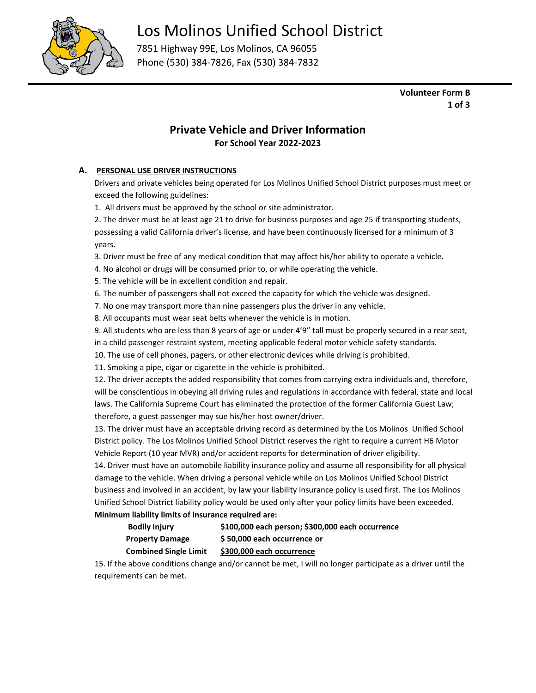

## Los Molinos Unified School District

7851 Highway 99E, Los Molinos, CA 96055 Phone (530) 384-7826, Fax (530) 384-7832

> **Volunteer Form B 1 of 3**

### **Private Vehicle and Driver Information For School Year 2022-2023**

#### **A. PERSONAL USE DRIVER INSTRUCTIONS**

Drivers and private vehicles being operated for Los Molinos Unified School District purposes must meet or exceed the following guidelines:

1. All drivers must be approved by the school or site administrator.

2. The driver must be at least age 21 to drive for business purposes and age 25 if transporting students, possessing a valid California driver's license, and have been continuously licensed for a minimum of 3 years.

3. Driver must be free of any medical condition that may affect his/her ability to operate a vehicle.

4. No alcohol or drugs will be consumed prior to, or while operating the vehicle.

5. The vehicle will be in excellent condition and repair.

6. The number of passengers shall not exceed the capacity for which the vehicle was designed.

7. No one may transport more than nine passengers plus the driver in any vehicle.

8. All occupants must wear seat belts whenever the vehicle is in motion.

9. All students who are less than 8 years of age or under 4'9" tall must be properly secured in a rear seat,

in a child passenger restraint system, meeting applicable federal motor vehicle safety standards.

10. The use of cell phones, pagers, or other electronic devices while driving is prohibited.

11. Smoking a pipe, cigar or cigarette in the vehicle is prohibited.

12. The driver accepts the added responsibility that comes from carrying extra individuals and, therefore, will be conscientious in obeying all driving rules and regulations in accordance with federal, state and local laws. The California Supreme Court has eliminated the protection of the former California Guest Law; therefore, a guest passenger may sue his/her host owner/driver.

13. The driver must have an acceptable driving record as determined by the Los Molinos Unified School District policy. The Los Molinos Unified School District reserves the right to require a current H6 Motor Vehicle Report (10 year MVR) and/or accident reports for determination of driver eligibility.

14. Driver must have an automobile liability insurance policy and assume all responsibility for all physical damage to the vehicle. When driving a personal vehicle while on Los Molinos Unified School District business and involved in an accident, by law your liability insurance policy is used first. The Los Molinos Unified School District liability policy would be used only after your policy limits have been exceeded. **Minimum liability limits of insurance required are:**

| <b>Bodily Injury</b>         | \$100,000 each person; \$300,000 each occurrence |
|------------------------------|--------------------------------------------------|
| <b>Property Damage</b>       | \$50,000 each occurrence or                      |
| <b>Combined Single Limit</b> | \$300,000 each occurrence                        |

15. If the above conditions change and/or cannot be met, I will no longer participate as a driver until the requirements can be met.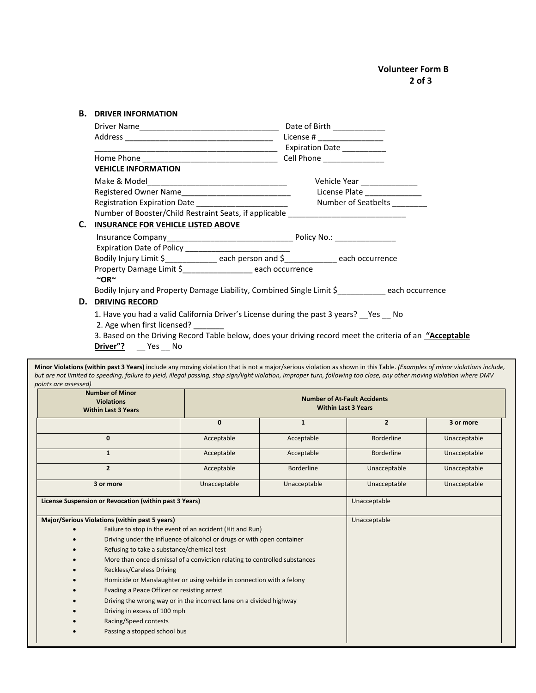| В. | <b>DRIVER INFORMATION</b>                                                                                          |                                                                                                          |
|----|--------------------------------------------------------------------------------------------------------------------|----------------------------------------------------------------------------------------------------------|
|    |                                                                                                                    | Date of Birth _____________                                                                              |
|    |                                                                                                                    | License # ____________________                                                                           |
|    |                                                                                                                    | Expiration Date __________                                                                               |
|    |                                                                                                                    |                                                                                                          |
|    | <b>VEHICLE INFORMATION</b>                                                                                         |                                                                                                          |
|    |                                                                                                                    | Vehicle Year ______________                                                                              |
|    |                                                                                                                    | License Plate ______________                                                                             |
|    |                                                                                                                    |                                                                                                          |
|    | Number of Booster/Child Restraint Seats, if applicable _________________________                                   |                                                                                                          |
| C. | <b>INSURANCE FOR VEHICLE LISTED ABOVE</b>                                                                          |                                                                                                          |
|    |                                                                                                                    |                                                                                                          |
|    |                                                                                                                    |                                                                                                          |
|    | Bodily Injury Limit \$_______________ each person and \$_____________ each occurrence                              |                                                                                                          |
|    | Property Damage Limit \$_______________ each occurrence<br>$\sim$ OR $\sim$                                        |                                                                                                          |
|    | Bodily Injury and Property Damage Liability, Combined Single Limit \$_____________ each occurrence                 |                                                                                                          |
| D. | <b>DRIVING RECORD</b>                                                                                              |                                                                                                          |
|    | 1. Have you had a valid California Driver's License during the past 3 years? Yes No<br>2. Age when first licensed? |                                                                                                          |
|    |                                                                                                                    | 3. Based on the Driving Record Table below, does your driving record meet the criteria of an "Acceptable |

**Driver"?** \_\_ Yes \_\_ No

**Minor Violations (within past 3 Years)** include any moving violation that is not a major/serious violation as shown in this Table. *(Examples of minor violations include, but are not limited to speeding, failure to yield, illegal passing, stop sign/light violation, improper turn, following too close, any other moving violation where DMV points are assessed)*

|                                                                       | <b>Number of Minor</b><br><b>Violations</b><br><b>Within Last 3 Years</b>  | <b>Number of At-Fault Accidents</b><br><b>Within Last 3 Years</b> |                   |                   |              |
|-----------------------------------------------------------------------|----------------------------------------------------------------------------|-------------------------------------------------------------------|-------------------|-------------------|--------------|
|                                                                       |                                                                            | 0                                                                 | $\mathbf{1}$      | $\overline{2}$    | 3 or more    |
|                                                                       | $\mathbf{0}$                                                               | Acceptable                                                        | Acceptable        | <b>Borderline</b> | Unacceptable |
|                                                                       | $\mathbf{1}$                                                               | Acceptable                                                        | Acceptable        | <b>Borderline</b> | Unacceptable |
|                                                                       | $\overline{2}$                                                             | Acceptable                                                        | <b>Borderline</b> | Unacceptable      | Unacceptable |
|                                                                       | 3 or more                                                                  | Unacceptable                                                      | Unacceptable      | Unacceptable      | Unacceptable |
|                                                                       | License Suspension or Revocation (within past 3 Years)                     |                                                                   |                   | Unacceptable      |              |
|                                                                       | Major/Serious Violations (within past 5 years)                             |                                                                   |                   | Unacceptable      |              |
|                                                                       | Failure to stop in the event of an accident (Hit and Run)                  |                                                                   |                   |                   |              |
|                                                                       | Driving under the influence of alcohol or drugs or with open container     |                                                                   |                   |                   |              |
|                                                                       | Refusing to take a substance/chemical test                                 |                                                                   |                   |                   |              |
|                                                                       | More than once dismissal of a conviction relating to controlled substances |                                                                   |                   |                   |              |
| <b>Reckless/Careless Driving</b>                                      |                                                                            |                                                                   |                   |                   |              |
| Homicide or Manslaughter or using vehicle in connection with a felony |                                                                            |                                                                   |                   |                   |              |
| Evading a Peace Officer or resisting arrest                           |                                                                            |                                                                   |                   |                   |              |
|                                                                       | Driving the wrong way or in the incorrect lane on a divided highway        |                                                                   |                   |                   |              |
|                                                                       | Driving in excess of 100 mph                                               |                                                                   |                   |                   |              |
|                                                                       | Racing/Speed contests                                                      |                                                                   |                   |                   |              |
|                                                                       |                                                                            | Passing a stopped school bus                                      |                   |                   |              |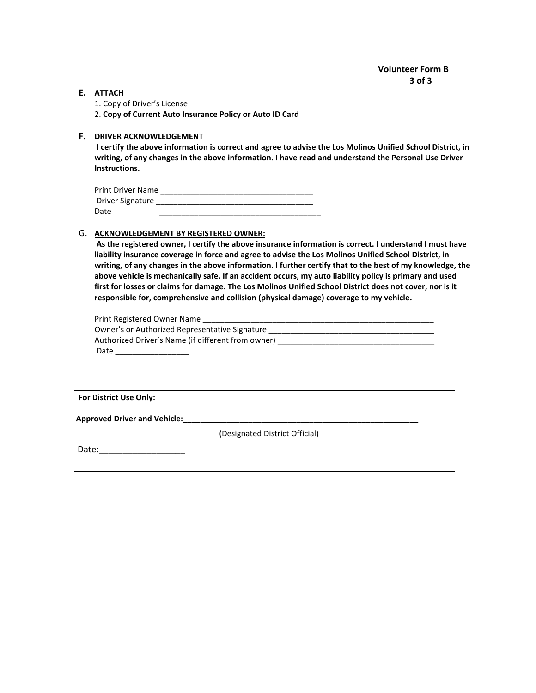#### **E. ATTACH**

1. Copy of Driver's License

2. **Copy of Current Auto Insurance Policy or Auto ID Card**

#### **F. DRIVER ACKNOWLEDGEMENT**

**I certify the above information is correct and agree to advise the Los Molinos Unified School District, in writing, of any changes in the above information. I have read and understand the Personal Use Driver Instructions.**

| <b>Print Driver Name</b> |  |
|--------------------------|--|
| Driver Signature         |  |
| Date                     |  |

#### G. **ACKNOWLEDGEMENT BY REGISTERED OWNER:**

| As the registered owner, I certify the above insurance information is correct. I understand I must have   |
|-----------------------------------------------------------------------------------------------------------|
| liability insurance coverage in force and agree to advise the Los Molinos Unified School District, in     |
| writing, of any changes in the above information. I further certify that to the best of my knowledge, the |
| above vehicle is mechanically safe. If an accident occurs, my auto liability policy is primary and used   |
| first for losses or claims for damage. The Los Molinos Unified School District does not cover, nor is it  |
| responsible for, comprehensive and collision (physical damage) coverage to my vehicle.                    |
|                                                                                                           |

| Print Registered Owner Name                        |
|----------------------------------------------------|
| Owner's or Authorized Representative Signature     |
| Authorized Driver's Name (if different from owner) |
| Date                                               |

**Approved Driver and Vehicle:\_\_\_\_\_\_\_\_\_\_\_\_\_\_\_\_\_\_\_\_\_\_\_\_\_\_\_\_\_\_\_\_\_\_\_\_\_\_\_\_\_\_\_\_\_\_\_\_\_\_\_\_\_\_**

(Designated District Official)

Date:\_\_\_\_\_\_\_\_\_\_\_\_\_\_\_\_\_\_